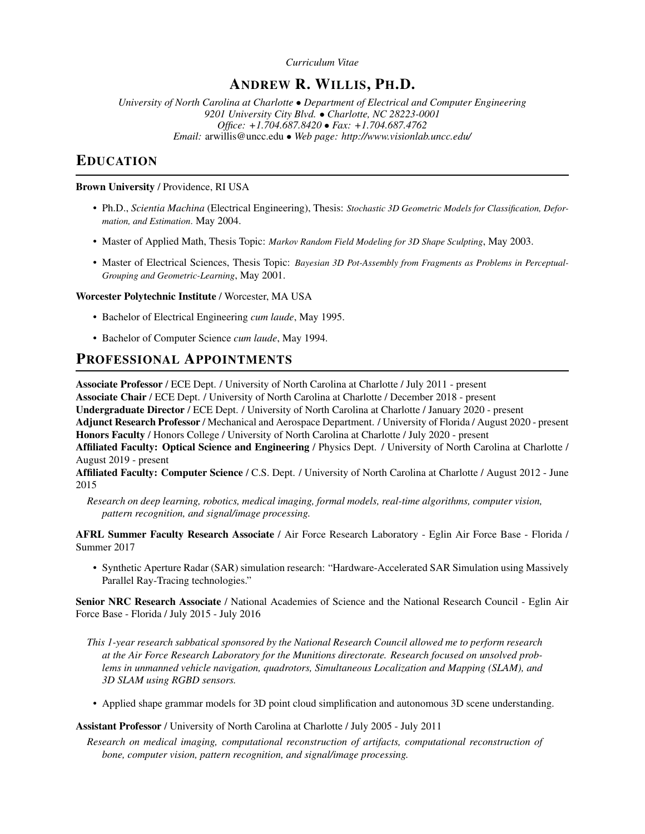*Curriculum Vitae*

# ANDREW R. WILLIS, PH.D.

*University of North Carolina at Charlotte* • *Department of Electrical and Computer Engineering 9201 University City Blvd.* • *Charlotte, NC 28223-0001 Office: +1.704.687.8420* • *Fax: +1.704.687.4762 Email:* [arwillis@uncc.edu](mailto:arwillis@uncc.edu) • *Web page:<http://www.visionlab.uncc.edu/>*

# EDUCATION

# Brown University / Providence, RI USA

- Ph.D., *Scientia Machina* (Electrical Engineering), Thesis: *Stochastic 3D Geometric Models for Classification, Deformation, and Estimation*. May 2004.
- Master of Applied Math, Thesis Topic: *Markov Random Field Modeling for 3D Shape Sculpting*, May 2003.
- Master of Electrical Sciences, Thesis Topic: *Bayesian 3D Pot-Assembly from Fragments as Problems in Perceptual-Grouping and Geometric-Learning*, May 2001.

# Worcester Polytechnic Institute / Worcester, MA USA

- Bachelor of Electrical Engineering *cum laude*, May 1995.
- Bachelor of Computer Science *cum laude*, May 1994.

# PROFESSIONAL APPOINTMENTS

Associate Professor / ECE Dept. / University of North Carolina at Charlotte / July 2011 - present Associate Chair / ECE Dept. / University of North Carolina at Charlotte / December 2018 - present Undergraduate Director / ECE Dept. / University of North Carolina at Charlotte / January 2020 - present Adjunct Research Professor / Mechanical and Aerospace Department. / University of Florida / August 2020 - present Honors Faculty / Honors College / University of North Carolina at Charlotte / July 2020 - present Affiliated Faculty: Optical Science and Engineering / Physics Dept. / University of North Carolina at Charlotte / August 2019 - present

Affiliated Faculty: Computer Science / C.S. Dept. / University of North Carolina at Charlotte / August 2012 - June 2015

*Research on deep learning, robotics, medical imaging, formal models, real-time algorithms, computer vision, pattern recognition, and signal/image processing.*

AFRL Summer Faculty Research Associate / Air Force Research Laboratory - Eglin Air Force Base - Florida / Summer 2017

• Synthetic Aperture Radar (SAR) simulation research: "Hardware-Accelerated SAR Simulation using Massively Parallel Ray-Tracing technologies."

Senior NRC Research Associate / National Academies of Science and the National Research Council - Eglin Air Force Base - Florida / July 2015 - July 2016

- *This 1-year research sabbatical sponsored by the National Research Council allowed me to perform research at the Air Force Research Laboratory for the Munitions directorate. Research focused on unsolved problems in unmanned vehicle navigation, quadrotors, Simultaneous Localization and Mapping (SLAM), and 3D SLAM using RGBD sensors.*
- Applied shape grammar models for 3D point cloud simplification and autonomous 3D scene understanding.

Assistant Professor / University of North Carolina at Charlotte / July 2005 - July 2011

*Research on medical imaging, computational reconstruction of artifacts, computational reconstruction of bone, computer vision, pattern recognition, and signal/image processing.*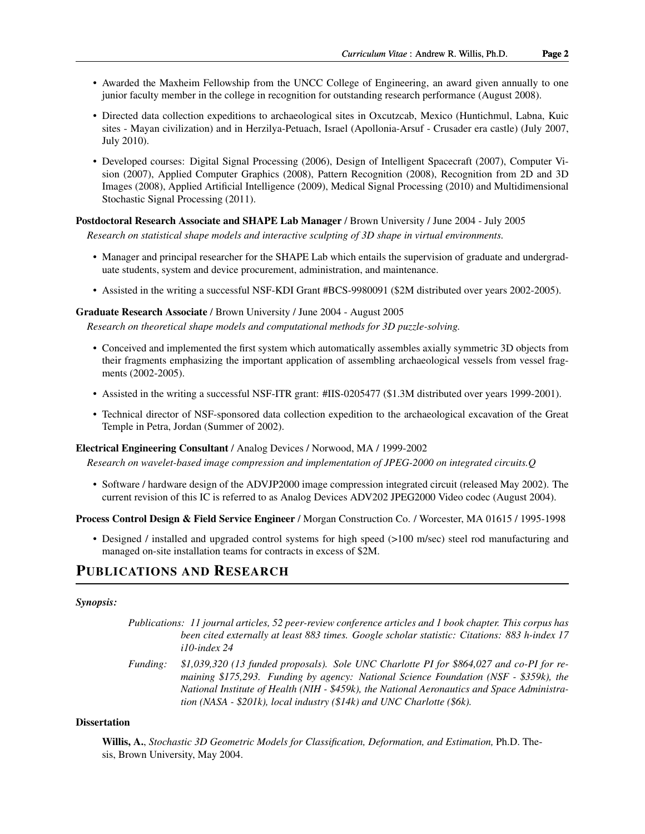- Awarded the Maxheim Fellowship from the UNCC College of Engineering, an award given annually to one junior faculty member in the college in recognition for outstanding research performance (August 2008).
- Directed data collection expeditions to archaeological sites in Oxcutzcab, Mexico (Huntichmul, Labna, Kuic sites - Mayan civilization) and in Herzilya-Petuach, Israel (Apollonia-Arsuf - Crusader era castle) (July 2007, July 2010).
- Developed courses: Digital Signal Processing (2006), Design of Intelligent Spacecraft (2007), Computer Vision (2007), Applied Computer Graphics (2008), Pattern Recognition (2008), Recognition from 2D and 3D Images (2008), Applied Artificial Intelligence (2009), Medical Signal Processing (2010) and Multidimensional Stochastic Signal Processing (2011).

# Postdoctoral Research Associate and SHAPE Lab Manager / Brown University / June 2004 - July 2005

*Research on statistical shape models and interactive sculpting of 3D shape in virtual environments.*

- Manager and principal researcher for the SHAPE Lab which entails the supervision of graduate and undergraduate students, system and device procurement, administration, and maintenance.
- Assisted in the writing a successful NSF-KDI Grant #BCS-9980091 (\$2M distributed over years 2002-2005).

## Graduate Research Associate / Brown University / June 2004 - August 2005

*Research on theoretical shape models and computational methods for 3D puzzle-solving.*

- Conceived and implemented the first system which automatically assembles axially symmetric 3D objects from their fragments emphasizing the important application of assembling archaeological vessels from vessel fragments (2002-2005).
- Assisted in the writing a successful NSF-ITR grant: #IIS-0205477 (\$1.3M distributed over years 1999-2001).
- Technical director of NSF-sponsored data collection expedition to the archaeological excavation of the Great Temple in Petra, Jordan (Summer of 2002).

#### Electrical Engineering Consultant / Analog Devices / Norwood, MA / 1999-2002

*Research on wavelet-based image compression and implementation of JPEG-2000 on integrated circuits.Q*

• Software / hardware design of the ADVJP2000 image compression integrated circuit (released May 2002). The current revision of this IC is referred to as Analog Devices ADV202 JPEG2000 Video codec (August 2004).

#### Process Control Design & Field Service Engineer / Morgan Construction Co. / Worcester, MA 01615 / 1995-1998

• Designed / installed and upgraded control systems for high speed (>100 m/sec) steel rod manufacturing and managed on-site installation teams for contracts in excess of \$2M.

# PUBLICATIONS AND RESEARCH

#### *Synopsis:*

| Publications: 11 journal articles, 52 peer-review conference articles and 1 book chapter. This corpus has |
|-----------------------------------------------------------------------------------------------------------|
| been cited externally at least 883 times. Google scholar statistic: Citations: 883 h-index 17             |
| $i10$ -index 24                                                                                           |
|                                                                                                           |

*Funding: \$1,039,320 (13 funded proposals). Sole UNC Charlotte PI for \$864,027 and co-PI for remaining \$175,293. Funding by agency: National Science Foundation (NSF - \$359k), the National Institute of Health (NIH - \$459k), the National Aeronautics and Space Administration (NASA - \$201k), local industry (\$14k) and UNC Charlotte (\$6k).*

## **Dissertation**

Willis, A., *[Stochastic 3D Geometric Models for Classification, Deformation, and Estimation,](http://www.visionlab.uncc.edu/downloads/arwillis/publications/2004_PhDThesis_complete.pdf)* Ph.D. Thesis, Brown University, May 2004.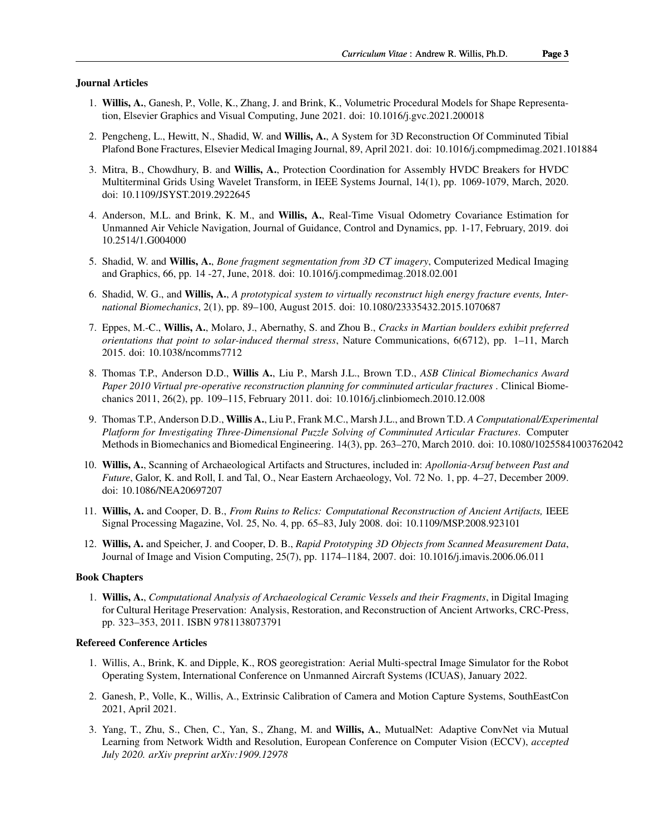#### Journal Articles

- 1. Willis, A., Ganesh, P., Volle, K., Zhang, J. and Brink, K., Volumetric Procedural Models for Shape Representation, Elsevier Graphics and Visual Computing, June 2021. doi: 10.1016/j.gvc.2021.200018
- 2. Pengcheng, L., Hewitt, N., Shadid, W. and Willis, A., A System for 3D Reconstruction Of Comminuted Tibial Plafond Bone Fractures, Elsevier Medical Imaging Journal, 89, April 2021. doi: 10.1016/j.compmedimag.2021.101884
- 3. Mitra, B., Chowdhury, B. and Willis, A., Protection Coordination for Assembly HVDC Breakers for HVDC Multiterminal Grids Using Wavelet Transform, in IEEE Systems Journal, 14(1), pp. 1069-1079, March, 2020. doi: 10.1109/JSYST.2019.2922645
- 4. Anderson, M.L. and Brink, K. M., and Willis, A., Real-Time Visual Odometry Covariance Estimation for Unmanned Air Vehicle Navigation, Journal of Guidance, Control and Dynamics, pp. 1-17, February, 2019. doi 10.2514/1.G004000
- 5. Shadid, W. and Willis, A., *[Bone fragment segmentation from 3D CT imagery](http://www.visionlab.uncc.edu/downloads/arwillis/publications/2018_CMIG_BoneSegmentation_draft.pdf)*, Computerized Medical Imaging and Graphics, 66, pp. 14 -27, June, 2018. doi: 10.1016/j.compmedimag.2018.02.001
- 6. Shadid, W. G., and Willis, A., *[A prototypical system to virtually reconstruct high energy fracture events, Inter](http://www.visionlab.uncc.edu/downloads/arwillis/publications/2015_FractureInverseMechanics.pdf)[national Biomechanics](http://www.visionlab.uncc.edu/downloads/arwillis/publications/2015_FractureInverseMechanics.pdf)*, 2(1), pp. 89–100, August 2015. doi: 10.1080/23335432.2015.1070687
- 7. Eppes, M.-C., Willis, A., Molaro, J., Abernathy, S. and Zhou B., *[Cracks in Martian boulders exhibit preferred](http://www.visionlab.uncc.edu/downloads/arwillis/publications/2015_MartianBoulderCracks.pdf) [orientations that point to solar-induced thermal stress](http://www.visionlab.uncc.edu/downloads/arwillis/publications/2015_MartianBoulderCracks.pdf)*, Nature Communications, 6(6712), pp. 1–11, March 2015. doi: 10.1038/ncomms7712
- 8. Thomas T.P., Anderson D.D., Willis A., Liu P., Marsh J.L., Brown T.D., *[ASB Clinical Biomechanics Award](http://www.visionlab.uncc.edu/downloads/arwillis/publications/2011_Experimental3DBoneFracturePuzzleSolving.pdf) [Paper 2010 Virtual pre-operative reconstruction planning for comminuted articular fractures](http://www.visionlab.uncc.edu/downloads/arwillis/publications/2011_Experimental3DBoneFracturePuzzleSolving.pdf)* . Clinical Biomechanics 2011, 26(2), pp. 109–115, February 2011. doi: 10.1016/j.clinbiomech.2010.12.008
- 9. Thomas T.P., Anderson D.D., Willis A., Liu P., Frank M.C., Marsh J.L., and Brown T.D. *[A Computational/Experi](http://www.ncbi.nlm.nih.gov/pubmed/20924863)mental [Platform for Investigating Three-Dimensional Puzzle Solving of Comminuted Articular Fractures](http://www.ncbi.nlm.nih.gov/pubmed/20924863)*. Computer Methods in Biomechanics and Biomedical Engineering. 14(3), pp. 263–270, March 2010. doi: 10.1080/10255841003762042
- 10. Willis, A., Scanning of Archaeological Artifacts and Structures, included in: *Apollonia-Arsuf between Past and Future*, Galor, K. and Roll, I. and Tal, O., Near Eastern Archaeology, Vol. 72 No. 1, pp. 4–27, December 2009. doi: 10.1086/NEA20697207
- 11. Willis, A. and Cooper, D. B., *[From Ruins to Relics: Computational Reconstruction of Ancient Artifacts,](http://www.visionlab.uncc.edu/downloads/arwillis/publications/2008_IEEE_SigProcMag_ArtifactReconstructionSurvey.pdf)* IEEE Signal Processing Magazine, Vol. 25, No. 4, pp. 65–83, July 2008. doi: 10.1109/MSP.2008.923101
- 12. Willis, A. and Speicher, J. and Cooper, D. B., *[Rapid Prototyping 3D Objects from Scanned Measurement Data](http://www.visionlab.uncc.edu/downloads/arwillis/publications/2007_Elsevier_MRFSculpting.pdf)*, Journal of Image and Vision Computing, 25(7), pp. 1174–1184, 2007. doi: 10.1016/j.imavis.2006.06.011

#### Book Chapters

1. Willis, A., *[Computational Analysis of Archaeological Ceramic Vessels and their Fragments](http://visionlab.uncc.edu/downloads/arwillis/publications/2010_CRCPressBook_ComputationalCeramicAnalysis.pdf)*, in Digital Imaging for Cultural Heritage Preservation: Analysis, Restoration, and Reconstruction of Ancient Artworks, CRC-Press, pp. 323–353, 2011. ISBN 9781138073791

#### Refereed Conference Articles

- 1. Willis, A., Brink, K. and Dipple, K., ROS georegistration: Aerial Multi-spectral Image Simulator for the Robot Operating System, International Conference on Unmanned Aircraft Systems (ICUAS), January 2022.
- 2. Ganesh, P., Volle, K., Willis, A., Extrinsic Calibration of Camera and Motion Capture Systems, SouthEastCon 2021, April 2021.
- 3. Yang, T., Zhu, S., Chen, C., Yan, S., Zhang, M. and Willis, A., MutualNet: Adaptive ConvNet via Mutual Learning from Network Width and Resolution, European Conference on Computer Vision (ECCV), *accepted July 2020. arXiv preprint arXiv:1909.12978*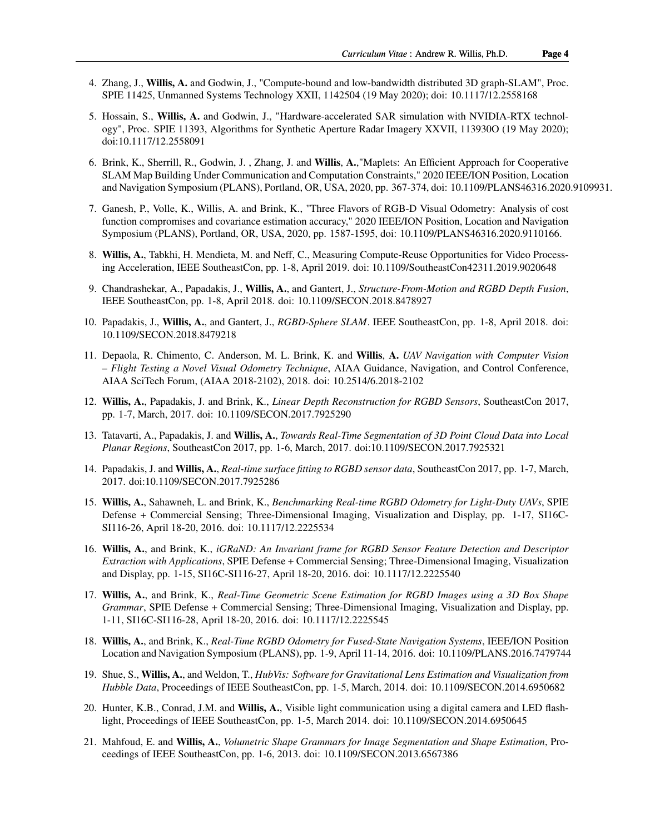- 4. Zhang, J., Willis, A. and Godwin, J., "Compute-bound and low-bandwidth distributed 3D graph-SLAM", Proc. SPIE 11425, Unmanned Systems Technology XXII, 1142504 (19 May 2020); doi: 10.1117/12.2558168
- 5. Hossain, S., Willis, A. and Godwin, J., "Hardware-accelerated SAR simulation with NVIDIA-RTX technology", Proc. SPIE 11393, Algorithms for Synthetic Aperture Radar Imagery XXVII, 113930O (19 May 2020); doi:10.1117/12.2558091
- 6. Brink, K., Sherrill, R., Godwin, J. , Zhang, J. and Willis, A.,"Maplets: An Efficient Approach for Cooperative SLAM Map Building Under Communication and Computation Constraints," 2020 IEEE/ION Position, Location and Navigation Symposium (PLANS), Portland, OR, USA, 2020, pp. 367-374, doi: 10.1109/PLANS46316.2020.9109931.
- 7. Ganesh, P., Volle, K., Willis, A. and Brink, K., "Three Flavors of RGB-D Visual Odometry: Analysis of cost function compromises and covariance estimation accuracy," 2020 IEEE/ION Position, Location and Navigation Symposium (PLANS), Portland, OR, USA, 2020, pp. 1587-1595, doi: 10.1109/PLANS46316.2020.9110166.
- 8. Willis, A., Tabkhi, H. Mendieta, M. and Neff, C., Measuring Compute-Reuse Opportunities for Video Processing Acceleration, IEEE SoutheastCon, pp. 1-8, April 2019. doi: 10.1109/SoutheastCon42311.2019.9020648
- 9. Chandrashekar, A., Papadakis, J., Willis, A., and Gantert, J., *[Structure-From-Motion and RGBD Depth Fusion](http://visionlab.uncc.edu/downloads/arwillis/publications/2018_SeCon_RGBDSfM_Fusion.pdf)*, IEEE SoutheastCon, pp. 1-8, April 2018. doi: 10.1109/SECON.2018.8478927
- 10. Papadakis, J., Willis, A., and Gantert, J., *[RGBD-Sphere SLAM](http://visionlab.uncc.edu/downloads/arwillis/publications/2018_SeCon_RGBD_ShapeSLAM.pdf)*. IEEE SoutheastCon, pp. 1-8, April 2018. doi: 10.1109/SECON.2018.8479218
- 11. Depaola, R. Chimento, C. Anderson, M. L. Brink, K. and Willis, A. *[UAV Navigation with Computer Vision](http://visionlab.uncc.edu/downloads/arwillis/publications/2018_AIAA_Dynamic_Covariance_Estimation_Algorithm_Analysis.pdf) [– Flight Testing a Novel Visual Odometry Technique](http://visionlab.uncc.edu/downloads/arwillis/publications/2018_AIAA_Dynamic_Covariance_Estimation_Algorithm_Analysis.pdf)*, AIAA Guidance, Navigation, and Control Conference, AIAA SciTech Forum, (AIAA 2018-2102), 2018. doi: 10.2514/6.2018-2102
- 12. Willis, A., Papadakis, J. and Brink, K., *[Linear Depth Reconstruction for RGBD Sensors](http://visionlab.uncc.edu/downloads/arwillis/publications/2017_SeCon_DepthImageFiltering.pdf)*, SoutheastCon 2017, pp. 1-7, March, 2017. doi: 10.1109/SECON.2017.7925290
- 13. Tatavarti, A., Papadakis, J. and Willis, A., *[Towards Real-Time Segmentation of 3D Point Cloud Data into Local](http://visionlab.uncc.edu/downloads/arwillis/publications/2017_SeCon_RGBD_PlaneSegmentation.pdf) [Planar Regions](http://visionlab.uncc.edu/downloads/arwillis/publications/2017_SeCon_RGBD_PlaneSegmentation.pdf)*, SoutheastCon 2017, pp. 1-6, March, 2017. doi:10.1109/SECON.2017.7925321
- 14. Papadakis, J. and Willis, A., *[Real-time surface fitting to RGBD sensor data](http://visionlab.uncc.edu/downloads/arwillis/publications/2017_SeCon_RGBD_RealTimeSurfaceFitting.pdf)*, SoutheastCon 2017, pp. 1-7, March, 2017. doi:10.1109/SECON.2017.7925286
- 15. Willis, A., Sahawneh, L. and Brink, K., *[Benchmarking Real-time RGBD Odometry for Light-Duty UAVs](http://visionlab.uncc.edu/downloads/arwillis/publications/2016_SPIE_RealTimeRGBDOdometryV3.pdf)*, SPIE Defense + Commercial Sensing; Three-Dimensional Imaging, Visualization and Display, pp. 1-17, SI16C-SI116-26, April 18-20, 2016. doi: 10.1117/12.2225534
- 16. Willis, A., and Brink, K., *[iGRaND: An Invariant frame for RGBD Sensor Feature Detection and Descriptor](http://visionlab.uncc.edu/downloads/arwillis/publications/2016_SPIE_iGRANDFeature.pdf) [Extraction with Applications](http://visionlab.uncc.edu/downloads/arwillis/publications/2016_SPIE_iGRANDFeature.pdf)*, SPIE Defense + Commercial Sensing; Three-Dimensional Imaging, Visualization and Display, pp. 1-15, SI16C-SI116-27, April 18-20, 2016. doi: 10.1117/12.2225540
- 17. Willis, A., and Brink, K., *[Real-Time Geometric Scene Estimation for RGBD Images using a 3D Box Shape](http://visionlab.uncc.edu/downloads/arwillis/publications/2016_SPIE_ShapeGrammars.pdf) [Grammar](http://visionlab.uncc.edu/downloads/arwillis/publications/2016_SPIE_ShapeGrammars.pdf)*, SPIE Defense + Commercial Sensing; Three-Dimensional Imaging, Visualization and Display, pp. 1-11, SI16C-SI116-28, April 18-20, 2016. doi: 10.1117/12.2225545
- 18. Willis, A., and Brink, K., *[Real-Time RGBD Odometry for Fused-State Navigation Systems](http://visionlab.uncc.edu/downloads/arwillis/publications/2016_ION_PLANS_RealTimeRGBDOdometry.pdf)*, IEEE/ION Position Location and Navigation Symposium (PLANS), pp. 1-9, April 11-14, 2016. doi: 10.1109/PLANS.2016.7479744
- 19. Shue, S., Willis, A., and Weldon, T., *[HubVis: Software for Gravitational Lens Estimation and Visualization from](http://visionlab.uncc.edu/downloads/arwillis/publications/2014_SeCon_GravitationalLensing.pdf) [Hubble Data](http://visionlab.uncc.edu/downloads/arwillis/publications/2014_SeCon_GravitationalLensing.pdf)*, Proceedings of IEEE SoutheastCon, pp. 1-5, March, 2014. doi: 10.1109/SECON.2014.6950682
- 20. Hunter, K.B., Conrad, J.M. and Willis, A., Visible light communication using a digital camera and LED flashlight, Proceedings of IEEE SoutheastCon, pp. 1-5, March 2014. doi: 10.1109/SECON.2014.6950645
- 21. Mahfoud, E. and Willis, A., *[Volumetric Shape Grammars for Image Segmentation and Shape Estimation](http://visionlab.uncc.edu/downloads/arwillis/publications/2013_SeCon_VolumetricShapeGrammars.pdf)*, Proceedings of IEEE SoutheastCon, pp. 1-6, 2013. doi: 10.1109/SECON.2013.6567386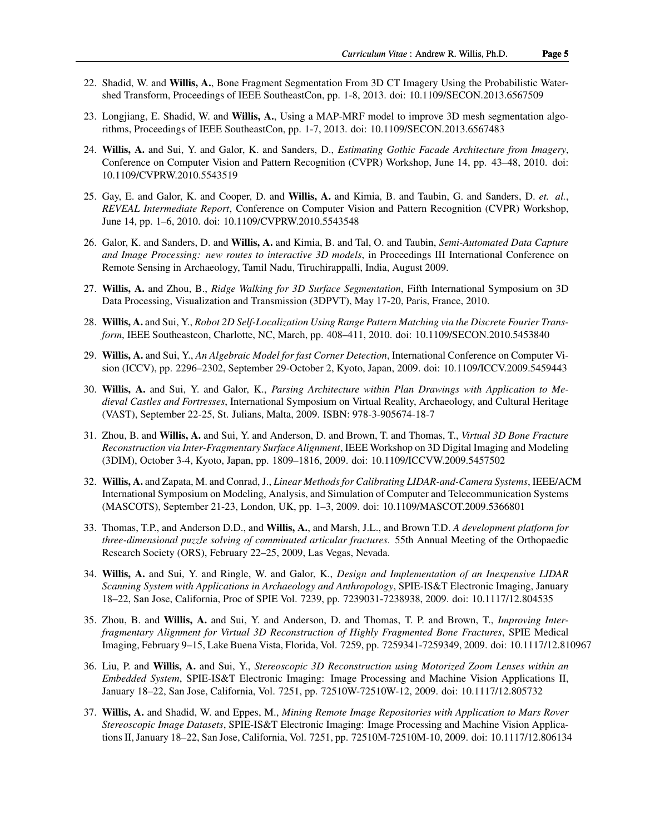- 22. Shadid, W. and Willis, A., Bone Fragment Segmentation From 3D CT Imagery Using the Probabilistic Watershed Transform, Proceedings of IEEE SoutheastCon, pp. 1-8, 2013. doi: 10.1109/SECON.2013.6567509
- 23. Longjiang, E. Shadid, W. and Willis, A., Using a MAP-MRF model to improve 3D mesh segmentation algorithms, Proceedings of IEEE SoutheastCon, pp. 1-7, 2013. doi: 10.1109/SECON.2013.6567483
- 24. Willis, A. and Sui, Y. and Galor, K. and Sanders, D., *[Estimating Gothic Facade Architecture from Imagery](http://www.visionlab.uncc.edu/downloads/arwillis/publications/2010_ACVA_GothicWindow.pdf)*, Conference on Computer Vision and Pattern Recognition (CVPR) Workshop, June 14, pp. 43–48, 2010. doi: 10.1109/CVPRW.2010.5543519
- 25. Gay, E. and Galor, K. and Cooper, D. and Willis, A. and Kimia, B. and Taubin, G. and Sanders, D. *et. al.*, *[REVEAL Intermediate Report](http://www.visionlab.uncc.edu/downloads/arwillis/publications/2010_ACVA_REVEALReport.pdf)*, Conference on Computer Vision and Pattern Recognition (CVPR) Workshop, June 14, pp. 1–6, 2010. doi: 10.1109/CVPRW.2010.5543548
- 26. Galor, K. and Sanders, D. and Willis, A. and Kimia, B. and Tal, O. and Taubin, *[Semi-Automated Data Capture](http://visionlab.uncc.edu/downloads/arwillis/publications/2009_RemoteSensing_VirtualArchaeology.pdf) [and Image Processing: new routes to interactive 3D models](http://visionlab.uncc.edu/downloads/arwillis/publications/2009_RemoteSensing_VirtualArchaeology.pdf)*, in Proceedings III International Conference on Remote Sensing in Archaeology, Tamil Nadu, Tiruchirappalli, India, August 2009.
- 27. Willis, A. and Zhou, B., *[Ridge Walking for 3D Surface Segmentation](http://visionlab.uncc.edu/downloads/arwillis/publications/2010_3DPVT_RidgeWalking.pdf)*, Fifth International Symposium on 3D Data Processing, Visualization and Transmission (3DPVT), May 17-20, Paris, France, 2010.
- 28. Willis, A. and Sui, Y., *[Robot 2D Self-Localization Using Range Pattern Matching via the Discrete Fourier Trans](http://visionlab.uncc.edu/downloads/arwillis/publications/2010_SeCon_DFTLocalization.pdf)[form](http://visionlab.uncc.edu/downloads/arwillis/publications/2010_SeCon_DFTLocalization.pdf)*, IEEE Southeastcon, Charlotte, NC, March, pp. 408–411, 2010. doi: 10.1109/SECON.2010.5453840
- 29. Willis, A. and Sui, Y., *[An Algebraic Model for fast Corner Detection](http://visionlab.uncc.edu/downloads/arwillis/publications/2009_ICCV_AlgebraicCornerDetection.pdf)*, International Conference on Computer Vision (ICCV), pp. 2296–2302, September 29-October 2, Kyoto, Japan, 2009. doi: 10.1109/ICCV.2009.5459443
- 30. Willis, A. and Sui, Y. and Galor, K., *[Parsing Architecture within Plan Drawings with Application to Me](http://visionlab.uncc.edu/downloads/arwillis/publications/2009_VAST_FloorPlanParsing.pdf)[dieval Castles and Fortresses](http://visionlab.uncc.edu/downloads/arwillis/publications/2009_VAST_FloorPlanParsing.pdf)*, International Symposium on Virtual Reality, Archaeology, and Cultural Heritage (VAST), September 22-25, St. Julians, Malta, 2009. ISBN: 978-3-905674-18-7
- 31. Zhou, B. and Willis, A. and Sui, Y. and Anderson, D. and Brown, T. and Thomas, T., *[Virtual 3D Bone Fracture](http://visionlab.uncc.edu/downloads/arwillis/publications/2009_3DIM_InterfragmentaryMatching.pdf) [Reconstruction via Inter-Fragmentary Surface Alignment](http://visionlab.uncc.edu/downloads/arwillis/publications/2009_3DIM_InterfragmentaryMatching.pdf)*, IEEE Workshop on 3D Digital Imaging and Modeling (3DIM), October 3-4, Kyoto, Japan, pp. 1809–1816, 2009. doi: 10.1109/ICCVW.2009.5457502
- 32. Willis, A. and Zapata, M. and Conrad, J., *[Linear Methods for Calibrating LIDAR-and-Camera Systems](http://visionlab.uncc.edu/downloads/arwillis/publications/2009_MASCOTS_LidarCameraCalib.pdf)*, IEEE/ACM International Symposium on Modeling, Analysis, and Simulation of Computer and Telecommunication Systems (MASCOTS), September 21-23, London, UK, pp. 1–3, 2009. doi: 10.1109/MASCOT.2009.5366801
- 33. Thomas, T.P., and Anderson D.D., and Willis, A., and Marsh, J.L., and Brown T.D. *A development platform for three-dimensional puzzle solving of comminuted articular fractures*. 55th Annual Meeting of the Orthopaedic Research Society (ORS), February 22–25, 2009, Las Vegas, Nevada.
- 34. Willis, A. and Sui, Y. and Ringle, W. and Galor, K., *[Design and Implementation of an Inexpensive LIDAR](http://www.visionlab.uncc.edu/downloads/arwillis/publications/2008_SPIE_EImaging_LIDARSensing.pdf) [Scanning System with Applications in Archaeology and Anthropology](http://www.visionlab.uncc.edu/downloads/arwillis/publications/2008_SPIE_EImaging_LIDARSensing.pdf)*, SPIE-IS&T Electronic Imaging, January 18–22, San Jose, California, Proc of SPIE Vol. 7239, pp. 7239031-7238938, 2009. doi: 10.1117/12.804535
- 35. Zhou, B. and Willis, A. and Sui, Y. and Anderson, D. and Thomas, T. P. and Brown, T., *[Improving Inter](http://www.visionlab.uncc.edu/downloads/arwillis/publications/2008_SPIE_UserPuzzle.pdf)[fragmentary Alignment for Virtual 3D Reconstruction of Highly Fragmented Bone Fractures](http://www.visionlab.uncc.edu/downloads/arwillis/publications/2008_SPIE_UserPuzzle.pdf)*, SPIE Medical Imaging, February 9–15, Lake Buena Vista, Florida, Vol. 7259, pp. 7259341-7259349, 2009. doi: 10.1117/12.810967
- 36. Liu, P. and Willis, A. and Sui, Y., *[Stereoscopic 3D Reconstruction using Motorized Zoom Lenses within an](http://www.visionlab.uncc.edu/downloads/arwillis/publications/2008_SPIE_EImaging_StereoPaper.pdf) [Embedded System](http://www.visionlab.uncc.edu/downloads/arwillis/publications/2008_SPIE_EImaging_StereoPaper.pdf)*, SPIE-IS&T Electronic Imaging: Image Processing and Machine Vision Applications II, January 18–22, San Jose, California, Vol. 7251, pp. 72510W-72510W-12, 2009. doi: 10.1117/12.805732
- 37. Willis, A. and Shadid, W. and Eppes, M., *[Mining Remote Image Repositories with Application to Mars Rover](http://www.visionlab.uncc.edu/downloads/arwillis/publications/2008_SPIE_EImaging_NASAPaper.pdf) [Stereoscopic Image Datasets](http://www.visionlab.uncc.edu/downloads/arwillis/publications/2008_SPIE_EImaging_NASAPaper.pdf)*, SPIE-IS&T Electronic Imaging: Image Processing and Machine Vision Applications II, January 18–22, San Jose, California, Vol. 7251, pp. 72510M-72510M-10, 2009. doi: 10.1117/12.806134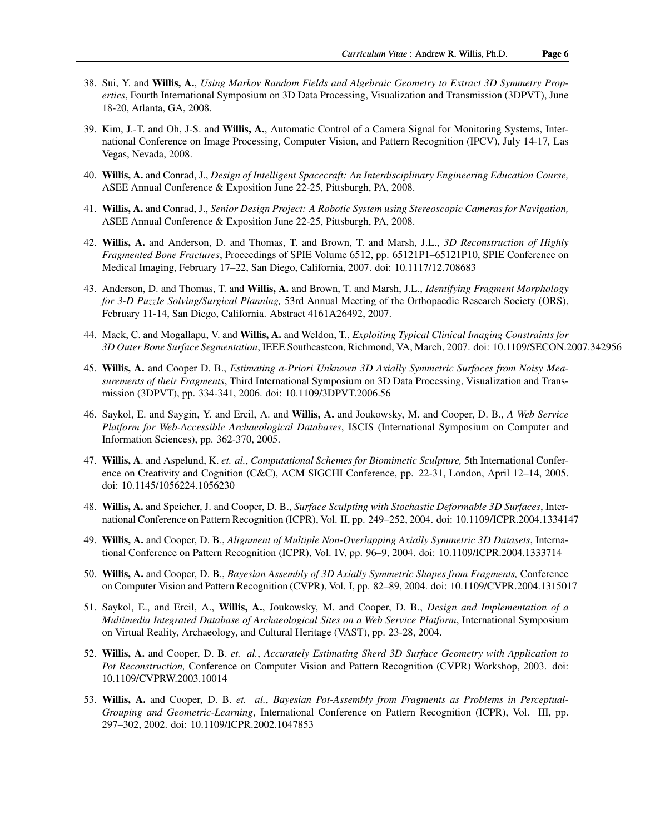- 38. Sui, Y. and Willis, A., *[Using Markov Random Fields and Algebraic Geometry to Extract 3D Symmetry Prop](http://www.visionlab.uncc.edu/downloads/arwillis/publications/2008_3DPVT_SurfaceMRF.pdf)[erties](http://www.visionlab.uncc.edu/downloads/arwillis/publications/2008_3DPVT_SurfaceMRF.pdf)*, Fourth International Symposium on 3D Data Processing, Visualization and Transmission (3DPVT), June 18-20, Atlanta, GA, 2008.
- 39. Kim, J.-T. and Oh, J-S. and Willis, A., Automatic Control of a Camera Signal for Monitoring Systems, International Conference on Image Processing, Computer Vision, and Pattern Recognition (IPCV), July 14-17*,* Las Vegas, Nevada, 2008.
- 40. Willis, A. and Conrad, J., *[Design of Intelligent Spacecraft: An Interdisciplinary Engineering Education Course,](http://www.visionlab.uncc.edu/downloads/arwillis/publications/2007_SpacecraftDesignCourse.pdf)* ASEE Annual Conference & Exposition June 22-25, Pittsburgh, PA, 2008.
- 41. Willis, A. and Conrad, J., *Senior Design Project: A Robotic System using Stereoscopic Cameras for Navigation,* ASEE Annual Conference & Exposition June 22-25, Pittsburgh, PA, 2008.
- 42. Willis, A. and Anderson, D. and Thomas, T. and Brown, T. and Marsh, J.L., *[3D Reconstruction of Highly](http://www.visionlab.uncc.edu/downloads/arwillis/publications/2006_SPIE_BonePuzzle.pdf) [Fragmented Bone Fractures](http://www.visionlab.uncc.edu/downloads/arwillis/publications/2006_SPIE_BonePuzzle.pdf)*, Proceedings of SPIE Volume 6512, pp. 65121P1–65121P10, SPIE Conference on Medical Imaging, February 17–22, San Diego, California, 2007. doi: 10.1117/12.708683
- 43. Anderson, D. and Thomas, T. and Willis, A. and Brown, T. and Marsh, J.L., *Identifying Fragment Morphology for 3-D Puzzle Solving/Surgical Planning,* 53rd Annual Meeting of the Orthopaedic Research Society (ORS), February 11-14, San Diego, California. Abstract 4161A26492, 2007.
- 44. Mack, C. and Mogallapu, V. and Willis, A. and Weldon, T., *[Exploiting Typical Clinical Imaging Constraints for](http://www.visionlab.uncc.edu/downloads/arwillis/publications/2007_SECon_MedicalImaging.pdf) [3D Outer Bone Surface Segmentation](http://www.visionlab.uncc.edu/downloads/arwillis/publications/2007_SECon_MedicalImaging.pdf)*, IEEE Southeastcon, Richmond, VA, March, 2007. doi: 10.1109/SECON.2007.342956
- 45. Willis, A. and Cooper D. B., *[Estimating a-Priori Unknown 3D Axially Symmetric Surfaces from Noisy Mea](http://www.visionlab.uncc.edu/downloads/arwillis/publications/2006_3DPVT_ProfileAssemble.pdf)[surements of their Fragments](http://www.visionlab.uncc.edu/downloads/arwillis/publications/2006_3DPVT_ProfileAssemble.pdf)*, Third International Symposium on 3D Data Processing, Visualization and Transmission (3DPVT), pp. 334-341, 2006. doi: 10.1109/3DPVT.2006.56
- 46. Saykol, E. and Saygin, Y. and Ercil, A. and Willis, A. and Joukowsky, M. and Cooper, D. B., *[A Web Service](http://www.visionlab.uncc.edu/downloads/arwillis/publications/2005_ISCIS_WebDatabase.pdf) [Platform for Web-Accessible Archaeological Databases](http://www.visionlab.uncc.edu/downloads/arwillis/publications/2005_ISCIS_WebDatabase.pdf)*, ISCIS (International Symposium on Computer and Information Sciences), pp. 362-370, 2005.
- 47. Willis, A. and Aspelund, K. *et. al.*, *[Computational Schemes for Biomimetic Sculpture,](http://www.visionlab.uncc.edu/downloads/arwillis/publications/2005_ACM_CreativityCognition.pdf)* 5th International Conference on Creativity and Cognition (C&C), ACM SIGCHI Conference, pp. 22-31, London, April 12–14, 2005. doi: 10.1145/1056224.1056230
- 48. Willis, A. and Speicher, J. and Cooper, D. B., *[Surface Sculpting with Stochastic Deformable 3D Surfaces](http://www.visionlab.uncc.edu/downloads/arwillis/publications/2004_ICPR_MRFSculpting.pdf)*, International Conference on Pattern Recognition (ICPR), Vol. II, pp. 249–252, 2004. doi: 10.1109/ICPR.2004.1334147
- 49. Willis, A. and Cooper, D. B., *[Alignment of Multiple Non-Overlapping Axially Symmetric 3D Datasets](http://www.visionlab.uncc.edu/downloads/arwillis/publications/2004_ICPR_PotFragmentAlign.pdf)*, International Conference on Pattern Recognition (ICPR), Vol. IV, pp. 96–9, 2004. doi: 10.1109/ICPR.2004.1333714
- 50. Willis, A. and Cooper, D. B., *[Bayesian Assembly of 3D Axially Symmetric Shapes from Fragments,](http://www.visionlab.uncc.edu/downloads/arwillis/publications/2004_CVPR_PotAssembly.pdf)* Conference on Computer Vision and Pattern Recognition (CVPR), Vol. I, pp. 82–89, 2004. doi: 10.1109/CVPR.2004.1315017
- 51. Saykol, E., and Ercil, A., Willis, A., Joukowsky, M. and Cooper, D. B., *[Design and Implementation of a](http://www.visionlab.uncc.edu/downloads/arwillis/publications/2004_VAST_WebDatabase.pdf) [Multimedia Integrated Database of Archaeological Sites on a Web Service Platform](http://www.visionlab.uncc.edu/downloads/arwillis/publications/2004_VAST_WebDatabase.pdf)*, International Symposium on Virtual Reality, Archaeology, and Cultural Heritage (VAST), pp. 23-28, 2004.
- 52. Willis, A. and Cooper, D. B. *et. al.*, *[Accurately Estimating Sherd 3D Surface Geometry with Application to](http://www.visionlab.uncc.edu/downloads/arwillis/publications/2003_CVPR_ACVAWorkshop.pdf) [Pot Reconstruction,](http://www.visionlab.uncc.edu/downloads/arwillis/publications/2003_CVPR_ACVAWorkshop.pdf)* Conference on Computer Vision and Pattern Recognition (CVPR) Workshop, 2003. doi: 10.1109/CVPRW.2003.10014
- 53. Willis, A. and Cooper, D. B. *et. al.*, *[Bayesian Pot-Assembly from Fragments as Problems in Perceptual-](http://www.visionlab.uncc.edu/downloads/arwillis/publications/2002_ICPR_PotAssembly.pdf)[Grouping and Geometric-Learning](http://www.visionlab.uncc.edu/downloads/arwillis/publications/2002_ICPR_PotAssembly.pdf)*, International Conference on Pattern Recognition (ICPR), Vol. III, pp. 297–302, 2002. doi: 10.1109/ICPR.2002.1047853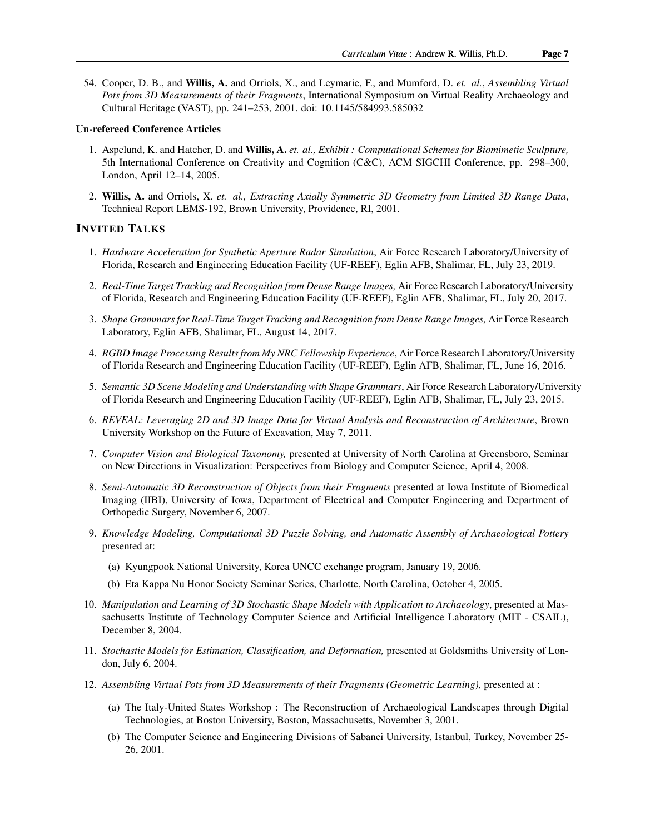54. Cooper, D. B., and Willis, A. and Orriols, X., and Leymarie, F., and Mumford, D. *et. al.*, *[Assembling Virtual](http://www.visionlab.uncc.edu/downloads/arwillis/publications/2001_VAST_PotSystem.pdf) [Pots from 3D Measurements of their Fragments](http://www.visionlab.uncc.edu/downloads/arwillis/publications/2001_VAST_PotSystem.pdf)*, International Symposium on Virtual Reality Archaeology and Cultural Heritage (VAST), pp. 241–253, 2001. doi: 10.1145/584993.585032

### Un-refereed Conference Articles

- 1. Aspelund, K. and Hatcher, D. and Willis, A. *et. al., Exhibit : Computational Schemes for Biomimetic Sculpture,* 5th International Conference on Creativity and Cognition (C&C), ACM SIGCHI Conference, pp. 298–300, London, April 12–14, 2005.
- 2. Willis, A. and Orriols, X. *et. al., Extracting Axially Symmetric 3D Geometry from Limited 3D Range Data*, Technical Report LEMS-192, Brown University, Providence, RI, 2001.

## INVITED TALKS

- 1. *Hardware Acceleration for Synthetic Aperture Radar Simulation*, Air Force Research Laboratory/University of Florida, Research and Engineering Education Facility (UF-REEF), Eglin AFB, Shalimar, FL, July 23, 2019.
- 2. *Real-Time Target Tracking and Recognition from Dense Range Images,* Air Force Research Laboratory/University of Florida, Research and Engineering Education Facility (UF-REEF), Eglin AFB, Shalimar, FL, July 20, 2017.
- 3. *Shape Grammars for Real-Time Target Tracking and Recognition from Dense Range Images,* Air Force Research Laboratory, Eglin AFB, Shalimar, FL, August 14, 2017.
- 4. *RGBD Image Processing Results from My NRC Fellowship Experience*, Air Force Research Laboratory/University of Florida Research and Engineering Education Facility (UF-REEF), Eglin AFB, Shalimar, FL, June 16, 2016.
- 5. *Semantic 3D Scene Modeling and Understanding with Shape Grammars*, Air Force Research Laboratory/University of Florida Research and Engineering Education Facility (UF-REEF), Eglin AFB, Shalimar, FL, July 23, 2015.
- 6. *REVEAL: Leveraging 2D and 3D Image Data for Virtual Analysis and Reconstruction of Architecture*, Brown University Workshop on the Future of Excavation, May 7, 2011.
- 7. *Computer Vision and Biological Taxonomy,* presented at University of North Carolina at Greensboro, Seminar on New Directions in Visualization: Perspectives from Biology and Computer Science, April 4, 2008.
- 8. *Semi-Automatic 3D Reconstruction of Objects from their Fragments* presented at Iowa Institute of Biomedical Imaging (IIBI), University of Iowa, Department of Electrical and Computer Engineering and Department of Orthopedic Surgery, November 6, 2007.
- 9. *Knowledge Modeling, Computational 3D Puzzle Solving, and Automatic Assembly of Archaeological Pottery* presented at:
	- (a) Kyungpook National University, Korea UNCC exchange program, January 19, 2006.
	- (b) Eta Kappa Nu Honor Society Seminar Series, Charlotte, North Carolina, October 4, 2005.
- 10. *Manipulation and Learning of 3D Stochastic Shape Models with Application to Archaeology*, presented at Massachusetts Institute of Technology Computer Science and Artificial Intelligence Laboratory (MIT - CSAIL), December 8, 2004.
- 11. *Stochastic Models for Estimation, Classification, and Deformation,* presented at Goldsmiths University of London, July 6, 2004.
- 12. *Assembling Virtual Pots from 3D Measurements of their Fragments (Geometric Learning),* presented at :
	- (a) The Italy-United States Workshop : The Reconstruction of Archaeological Landscapes through Digital Technologies, at Boston University, Boston, Massachusetts, November 3, 2001.
	- (b) The Computer Science and Engineering Divisions of Sabanci University, Istanbul, Turkey, November 25- 26, 2001.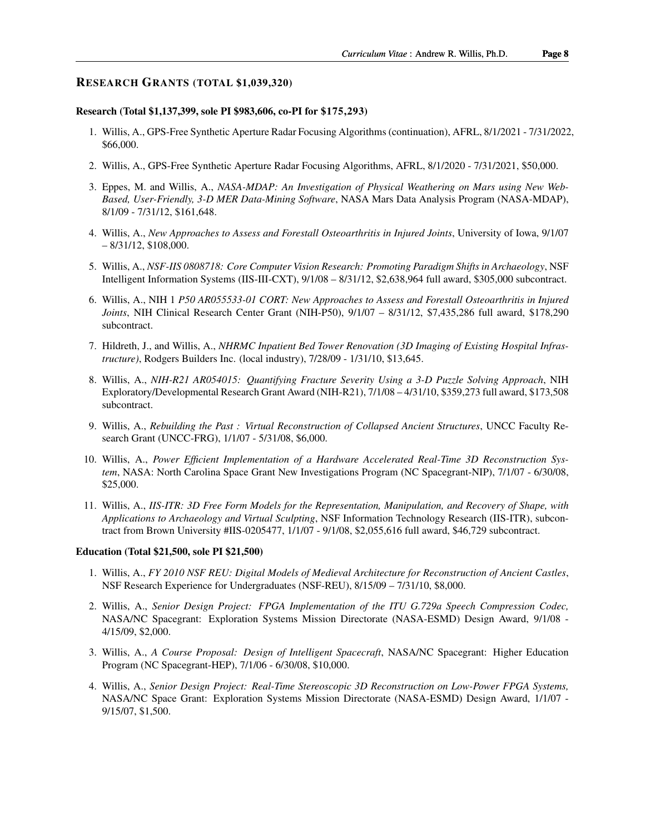### RESEARCH GRANTS (TOTAL \$1,039,320)

#### Research (Total \$1,137,399, sole PI \$983,606, co-PI for \$175,293)

- 1. Willis, A., GPS-Free Synthetic Aperture Radar Focusing Algorithms (continuation), AFRL, 8/1/2021 7/31/2022, \$66,000.
- 2. Willis, A., GPS-Free Synthetic Aperture Radar Focusing Algorithms, AFRL, 8/1/2020 7/31/2021, \$50,000.
- 3. Eppes, M. and Willis, A., *NASA-MDAP: An Investigation of Physical Weathering on Mars using New Web-Based, User-Friendly, 3-D MER Data-Mining Software*, NASA Mars Data Analysis Program (NASA-MDAP), 8/1/09 - 7/31/12, \$161,648.
- 4. Willis, A., *New Approaches to Assess and Forestall Osteoarthritis in Injured Joints*, University of Iowa, 9/1/07  $-8/31/12$ , \$108,000.
- 5. Willis, A., *NSF-IIS 0808718: Core Computer Vision Research: Promoting Paradigm Shifts in Archaeology*, NSF Intelligent Information Systems (IIS-III-CXT), 9/1/08 – 8/31/12, \$2,638,964 full award, \$305,000 subcontract.
- 6. Willis, A., NIH 1 *P50 AR055533-01 CORT: New Approaches to Assess and Forestall Osteoarthritis in Injured Joints*, NIH Clinical Research Center Grant (NIH-P50), 9/1/07 – 8/31/12, \$7,435,286 full award, \$178,290 subcontract.
- 7. Hildreth, J., and Willis, A., *NHRMC Inpatient Bed Tower Renovation (3D Imaging of Existing Hospital Infrastructure)*, Rodgers Builders Inc. (local industry), 7/28/09 - 1/31/10, \$13,645.
- 8. Willis, A., *NIH-R21 AR054015: Quantifying Fracture Severity Using a 3-D Puzzle Solving Approach*, NIH Exploratory/Developmental Research Grant Award (NIH-R21), 7/1/08 – 4/31/10, \$359,273 full award, \$173,508 subcontract.
- 9. Willis, A., *Rebuilding the Past : Virtual Reconstruction of Collapsed Ancient Structures*, UNCC Faculty Research Grant (UNCC-FRG), 1/1/07 - 5/31/08, \$6,000.
- 10. Willis, A., *Power Efficient Implementation of a Hardware Accelerated Real-Time 3D Reconstruction System*, NASA: North Carolina Space Grant New Investigations Program (NC Spacegrant-NIP), 7/1/07 - 6/30/08, \$25,000.
- 11. Willis, A., *IIS-ITR: 3D Free Form Models for the Representation, Manipulation, and Recovery of Shape, with Applications to Archaeology and Virtual Sculpting*, NSF Information Technology Research (IIS-ITR), subcontract from Brown University #IIS-0205477, 1/1/07 - 9/1/08, \$2,055,616 full award, \$46,729 subcontract.

#### Education (Total \$21,500, sole PI \$21,500)

- 1. Willis, A., *FY 2010 NSF REU: Digital Models of Medieval Architecture for Reconstruction of Ancient Castles*, NSF Research Experience for Undergraduates (NSF-REU), 8/15/09 – 7/31/10, \$8,000.
- 2. Willis, A., *Senior Design Project: FPGA Implementation of the ITU G.729a Speech Compression Codec,* NASA/NC Spacegrant: Exploration Systems Mission Directorate (NASA-ESMD) Design Award, 9/1/08 - 4/15/09, \$2,000.
- 3. Willis, A., *A Course Proposal: Design of Intelligent Spacecraft*, NASA/NC Spacegrant: Higher Education Program (NC Spacegrant-HEP), 7/1/06 - 6/30/08, \$10,000.
- 4. Willis, A., *Senior Design Project: Real-Time Stereoscopic 3D Reconstruction on Low-Power FPGA Systems,* NASA/NC Space Grant: Exploration Systems Mission Directorate (NASA-ESMD) Design Award, 1/1/07 - 9/15/07, \$1,500.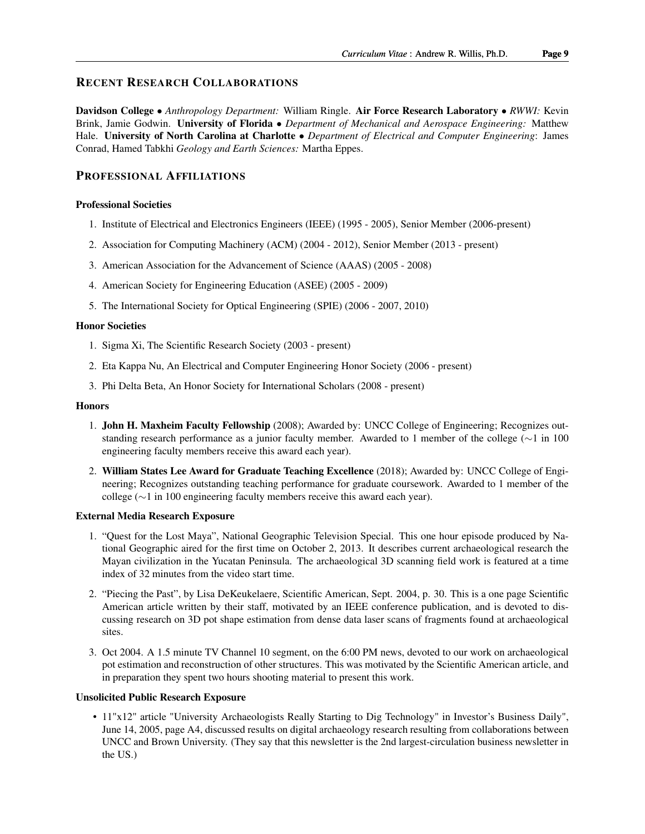# RECENT RESEARCH COLLABORATIONS

Davidson College • *Anthropology Department:* William Ringle. Air Force Research Laboratory • *RWWI:* Kevin Brink, Jamie Godwin. University of Florida • *Department of Mechanical and Aerospace Engineering:* Matthew Hale. University of North Carolina at Charlotte • *Department of Electrical and Computer Engineering*: James Conrad, Hamed Tabkhi *Geology and Earth Sciences:* Martha Eppes.

# PROFESSIONAL AFFILIATIONS

#### Professional Societies

- 1. [Institute of Electrical and Electronics Engineers](http://www.ieee.org/) (IEEE) (1995 2005), Senior Member (2006-present)
- 2. [Association for Computing Machinery](http://www.acm.org/) (ACM) (2004 2012), Senior Member (2013 present)
- 3. [American Association for the Advancement of Science](http://www.aaas.org/) (AAAS) (2005 2008)
- 4. [American Society for Engineering Education](http://www.asee.org/) (ASEE) (2005 2009)
- 5. [The International Society for Optical Engineering](http://www.spie.org/) (SPIE) (2006 2007, 2010)

#### Honor Societies

- 1. [Sigma Xi, The Scientific Research Society](http://www.sigmaxi.org/) (2003 present)
- 2. [Eta Kappa Nu, An Electrical and Computer Engineering Honor Society](http://www.hkn.org/) (2006 present)
- 3. [Phi Delta Beta, An Honor Society for International Scholars](http://www.phibetadelta.org/) (2008 present)

#### **Honors**

- 1. John H. Maxheim Faculty Fellowship (2008); Awarded by: UNCC College of Engineering; Recognizes outstanding research performance as a junior faculty member. Awarded to 1 member of the college (∼1 in 100 engineering faculty members receive this award each year).
- 2. William States Lee Award for Graduate Teaching Excellence (2018); Awarded by: UNCC College of Engineering; Recognizes outstanding teaching performance for graduate coursework. Awarded to 1 member of the college (∼1 in 100 engineering faculty members receive this award each year).

### External Media Research Exposure

- 1. "Quest for the Lost Maya", National Geographic Television Special. This one hour episode produced by National Geographic aired for the first time on October 2, 2013. It describes current archaeological research the Mayan civilization in the Yucatan Peninsula. The archaeological 3D scanning field work is featured at a time index of 32 minutes from the video start time.
- 2. "Piecing the Past", by Lisa DeKeukelaere, Scientific American, Sept. 2004, p. 30. This is a one page Scientific American article written by their staff, motivated by an IEEE conference publication, and is devoted to discussing research on 3D pot shape estimation from dense data laser scans of fragments found at archaeological sites.
- 3. Oct 2004. A 1.5 minute TV Channel 10 segment, on the 6:00 PM news, devoted to our work on archaeological pot estimation and reconstruction of other structures. This was motivated by the Scientific American article, and in preparation they spent two hours shooting material to present this work.

#### Unsolicited Public Research Exposure

• 11"x12" article "University Archaeologists Really Starting to Dig Technology" in Investor's Business Daily", June 14, 2005, page A4, discussed results on digital archaeology research resulting from collaborations between UNCC and Brown University. (They say that this newsletter is the 2nd largest-circulation business newsletter in the US.)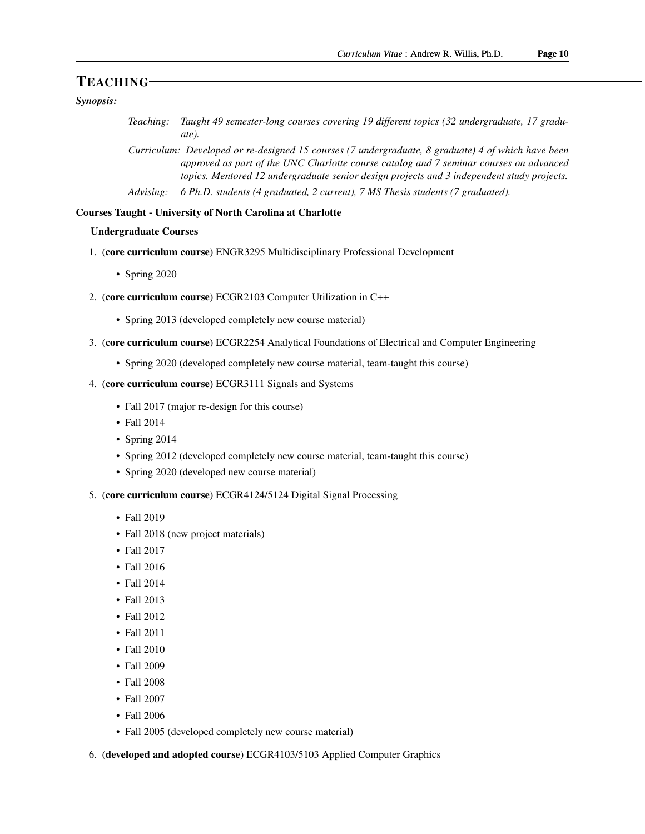# TEACHING

# *Synopsis:*

- *Teaching: Taught 49 semester-long courses covering 19 different topics (32 undergraduate, 17 graduate).*
- *Curriculum: Developed or re-designed 15 courses (7 undergraduate, 8 graduate) 4 of which have been approved as part of the UNC Charlotte course catalog and 7 seminar courses on advanced topics. Mentored 12 undergraduate senior design projects and 3 independent study projects.*
- *Advising: 6 Ph.D. students (4 graduated, 2 current), 7 MS Thesis students (7 graduated).*

## Courses Taught - University of North Carolina at Charlotte

# Undergraduate Courses

- 1. (core curriculum course) ENGR3295 Multidisciplinary Professional Development
	- Spring 2020
- 2. (core curriculum course) ECGR2103 Computer Utilization in C++
	- Spring 2013 (developed completely new course material)
- 3. (core curriculum course) ECGR2254 Analytical Foundations of Electrical and Computer Engineering
	- Spring 2020 (developed completely new course material, team-taught this course)
- 4. (core curriculum course) ECGR3111 Signals and Systems
	- Fall 2017 (major re-design for this course)
	- Fall 2014
	- Spring 2014
	- Spring 2012 (developed completely new course material, team-taught this course)
	- Spring 2020 (developed new course material)
- 5. (core curriculum course) ECGR4124/5124 Digital Signal Processing
	- Fall 2019
	- Fall 2018 (new project materials)
	- Fall 2017
	- Fall 2016
	- Fall 2014
	- Fall 2013
	- Fall 2012
	- Fall 2011
	- Fall 2010
	- Fall 2009
	- Fall 2008
	- Fall 2007
	- Fall 2006
	- Fall 2005 (developed completely new course material)

6. (developed and adopted course) ECGR4103/5103 Applied Computer Graphics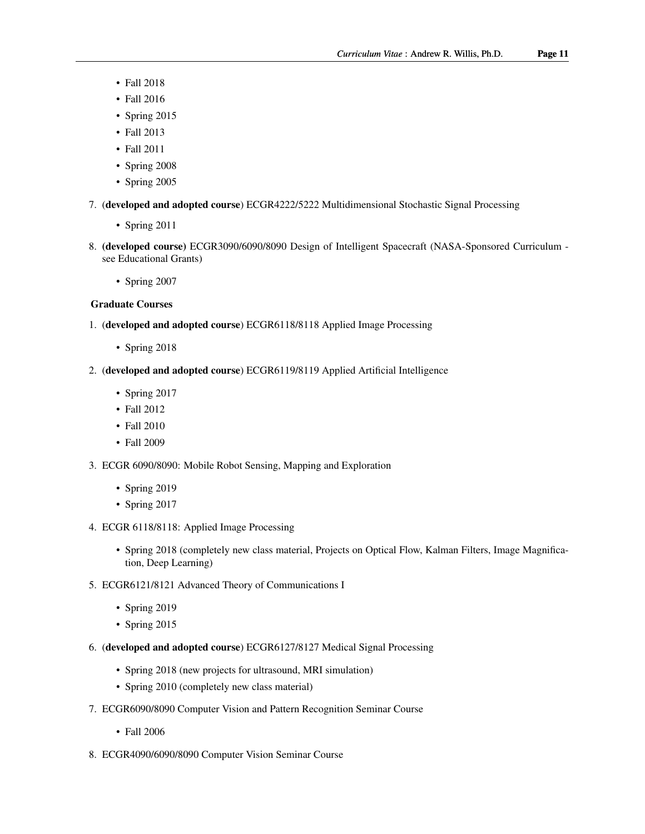- Fall 2018
- Fall 2016
- Spring 2015
- Fall 2013
- Fall 2011
- Spring 2008
- Spring 2005
- 7. (developed and adopted course) ECGR4222/5222 Multidimensional Stochastic Signal Processing
	- Spring 2011
- 8. (developed course) ECGR3090/6090/8090 Design of Intelligent Spacecraft (NASA-Sponsored Curriculum see Educational Grants)
	- Spring 2007
- Graduate Courses
- 1. (developed and adopted course) ECGR6118/8118 Applied Image Processing
	- Spring 2018
- 2. (developed and adopted course) ECGR6119/8119 Applied Artificial Intelligence
	- Spring 2017
	- Fall 2012
	- Fall 2010
	- Fall 2009
- 3. ECGR 6090/8090: Mobile Robot Sensing, Mapping and Exploration
	- Spring 2019
	- Spring 2017
- 4. ECGR 6118/8118: Applied Image Processing
	- Spring 2018 (completely new class material, Projects on Optical Flow, Kalman Filters, Image Magnification, Deep Learning)
- 5. ECGR6121/8121 Advanced Theory of Communications I
	- Spring 2019
	- Spring 2015
- 6. (developed and adopted course) ECGR6127/8127 Medical Signal Processing
	- Spring 2018 (new projects for ultrasound, MRI simulation)
	- Spring 2010 (completely new class material)
- 7. ECGR6090/8090 Computer Vision and Pattern Recognition Seminar Course
	- Fall 2006
- 8. ECGR4090/6090/8090 Computer Vision Seminar Course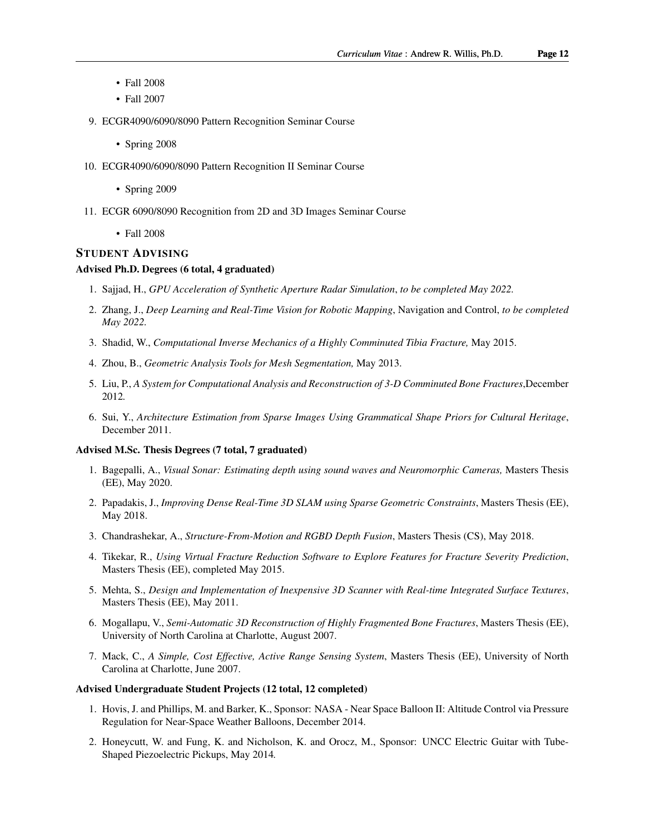- Fall 2008
- Fall 2007
- 9. ECGR4090/6090/8090 Pattern Recognition Seminar Course
	- Spring 2008
- 10. ECGR4090/6090/8090 Pattern Recognition II Seminar Course
	- Spring 2009
- 11. ECGR 6090/8090 Recognition from 2D and 3D Images Seminar Course
	- Fall 2008

#### STUDENT ADVISING

#### Advised Ph.D. Degrees (6 total, 4 graduated)

- 1. Sajjad, H., *GPU Acceleration of Synthetic Aperture Radar Simulation*, *to be completed May 2022.*
- 2. Zhang, J., *Deep Learning and Real-Time Vision for Robotic Mapping*, Navigation and Control, *to be completed May 2022.*
- 3. Shadid, W., *Computational Inverse Mechanics of a Highly Comminuted Tibia Fracture,* May 2015.
- 4. Zhou, B., *Geometric Analysis Tools for Mesh Segmentation,* May 2013.
- 5. Liu, P., *A System for Computational Analysis and Reconstruction of 3-D Comminuted Bone Fractures*,December 2012*.*
- 6. Sui, Y., *Architecture Estimation from Sparse Images Using Grammatical Shape Priors for Cultural Heritage*, December 2011.

#### Advised M.Sc. Thesis Degrees (7 total, 7 graduated)

- 1. Bagepalli, A., *Visual Sonar: Estimating depth using sound waves and Neuromorphic Cameras,* Masters Thesis (EE), May 2020.
- 2. Papadakis, J., *Improving Dense Real-Time 3D SLAM using Sparse Geometric Constraints*, Masters Thesis (EE), May 2018.
- 3. Chandrashekar, A., *Structure-From-Motion and RGBD Depth Fusion*, Masters Thesis (CS), May 2018.
- 4. Tikekar, R., *Using Virtual Fracture Reduction Software to Explore Features for Fracture Severity Prediction*, Masters Thesis (EE), completed May 2015.
- 5. Mehta, S., *Design and Implementation of Inexpensive 3D Scanner with Real-time Integrated Surface Textures*, Masters Thesis (EE), May 2011.
- 6. Mogallapu, V., *Semi-Automatic 3D Reconstruction of Highly Fragmented Bone Fractures*, Masters Thesis (EE), University of North Carolina at Charlotte, August 2007.
- 7. Mack, C., *A Simple, Cost Effective, Active Range Sensing System*, Masters Thesis (EE), University of North Carolina at Charlotte, June 2007.

#### Advised Undergraduate Student Projects (12 total, 12 completed)

- 1. Hovis, J. and Phillips, M. and Barker, K., Sponsor: NASA Near Space Balloon II: Altitude Control via Pressure Regulation for Near-Space Weather Balloons, December 2014.
- 2. Honeycutt, W. and Fung, K. and Nicholson, K. and Orocz, M., Sponsor: UNCC Electric Guitar with Tube-Shaped Piezoelectric Pickups, May 2014*.*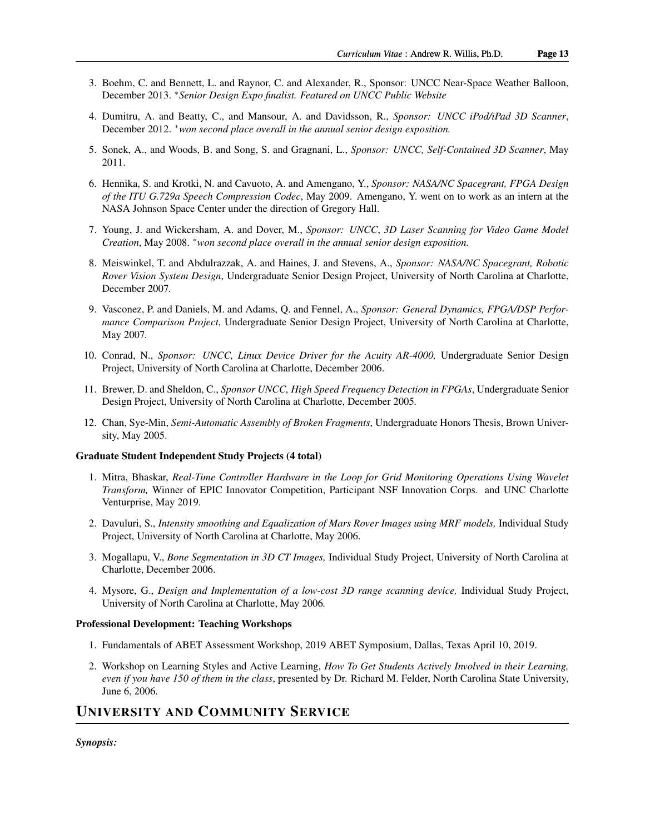- 3. Boehm, C. and Bennett, L. and Raynor, C. and Alexander, R., Sponsor: UNCC Near-Space Weather Balloon, December 2013. <sup>∗</sup>*Senior Design Expo finalist. Featured on UNCC Public Website*
- 4. Dumitru, A. and Beatty, C., and Mansour, A. and Davidsson, R., *Sponsor: UNCC iPod/iPad 3D Scanner*, December 2012. <sup>∗</sup>*won second place overall in the annual senior design exposition.*
- 5. Sonek, A., and Woods, B. and Song, S. and Gragnani, L., *Sponsor: UNCC, Self-Contained 3D Scanner*, May 2011.
- 6. Hennika, S. and Krotki, N. and Cavuoto, A. and Amengano, Y., *Sponsor: NASA/NC Spacegrant, FPGA Design of the ITU G.729a Speech Compression Codec*, May 2009. Amengano, Y. went on to work as an intern at the NASA Johnson Space Center under the direction of Gregory Hall.
- 7. Young, J. and Wickersham, A. and Dover, M., *Sponsor: UNCC*, *3D Laser Scanning for Video Game Model Creation*, May 2008. <sup>∗</sup>*won second place overall in the annual senior design exposition.*
- 8. Meiswinkel, T. and Abdulrazzak, A. and Haines, J. and Stevens, A., *Sponsor: NASA/NC Spacegrant, Robotic Rover Vision System Design*, Undergraduate Senior Design Project, University of North Carolina at Charlotte, December 2007*.*
- 9. Vasconez, P. and Daniels, M. and Adams, Q. and Fennel, A., *Sponsor: General Dynamics, FPGA/DSP Performance Comparison Project*, Undergraduate Senior Design Project, University of North Carolina at Charlotte, May 2007*.*
- 10. Conrad, N., *Sponsor: UNCC, Linux Device Driver for the Acuity AR-4000,* Undergraduate Senior Design Project, University of North Carolina at Charlotte, December 2006.
- 11. Brewer, D. and Sheldon, C., *Sponsor UNCC, High Speed Frequency Detection in FPGAs*, Undergraduate Senior Design Project, University of North Carolina at Charlotte, December 2005*.*
- 12. Chan, Sye-Min, *Semi-Automatic Assembly of Broken Fragments*, Undergraduate Honors Thesis, Brown University, May 2005.

#### Graduate Student Independent Study Projects (4 total)

- 1. Mitra, Bhaskar, *Real-Time Controller Hardware in the Loop for Grid Monitoring Operations Using Wavelet Transform,* Winner of EPIC Innovator Competition, Participant NSF Innovation Corps. and UNC Charlotte Venturprise, May 2019.
- 2. Davuluri, S., *Intensity smoothing and Equalization of Mars Rover Images using MRF models,* Individual Study Project, University of North Carolina at Charlotte, May 2006.
- 3. Mogallapu, V., *Bone Segmentation in 3D CT Images,* Individual Study Project, University of North Carolina at Charlotte, December 2006.
- 4. Mysore, G., *Design and Implementation of a low-cost 3D range scanning device,* Individual Study Project, University of North Carolina at Charlotte, May 2006*.*

#### Professional Development: Teaching Workshops

- 1. Fundamentals of ABET Assessment Workshop, 2019 ABET Symposium, Dallas, Texas April 10, 2019.
- 2. Workshop on Learning Styles and Active Learning, *How To Get Students Actively Involved in their Learning, even if you have 150 of them in the class*, presented by Dr. Richard M. Felder, North Carolina State University, June 6, 2006.

# UNIVERSITY AND COMMUNITY SERVICE

*Synopsis:*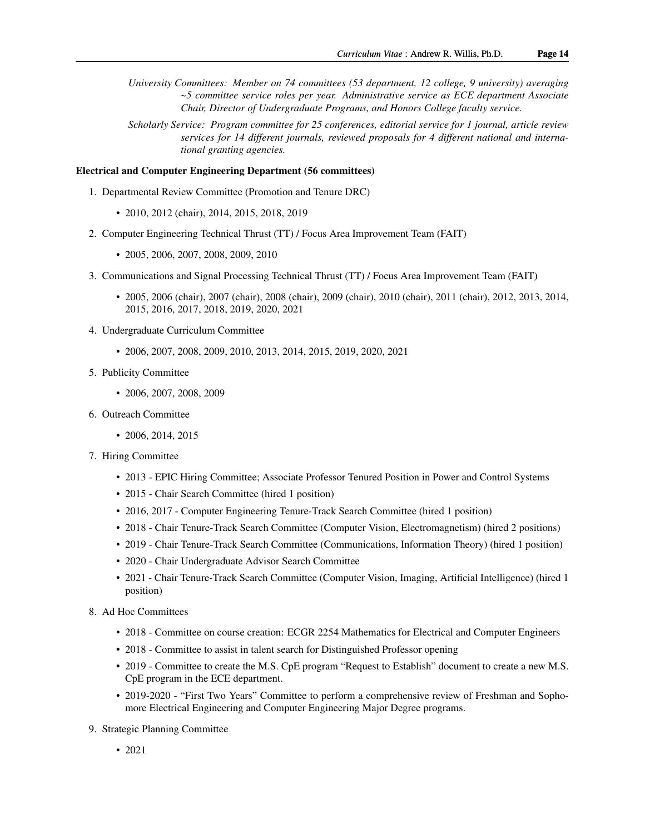*University Committees: Member on 74 committees (53 department, 12 college, 9 university) averaging ~5 committee service roles per year. Administrative service as ECE department Associate Chair, Director of Undergraduate Programs, and Honors College faculty service.*

*Scholarly Service: Program committee for 25 conferences, editorial service for 1 journal, article review services for 14 different journals, reviewed proposals for 4 different national and international granting agencies.*

#### Electrical and Computer Engineering Department (56 committees)

- 1. Departmental Review Committee (Promotion and Tenure DRC)
	- 2010, 2012 (chair), 2014, 2015, 2018, 2019
- 2. Computer Engineering Technical Thrust (TT) / Focus Area Improvement Team (FAIT)
	- 2005, 2006, 2007, 2008, 2009, 2010
- 3. Communications and Signal Processing Technical Thrust (TT) / Focus Area Improvement Team (FAIT)
	- 2005, 2006 (chair), 2007 (chair), 2008 (chair), 2009 (chair), 2010 (chair), 2011 (chair), 2012, 2013, 2014, 2015, 2016, 2017, 2018, 2019, 2020, 2021
- 4. Undergraduate Curriculum Committee
	- 2006, 2007, 2008, 2009, 2010, 2013, 2014, 2015, 2019, 2020, 2021
- 5. Publicity Committee
	- 2006, 2007, 2008, 2009
- 6. Outreach Committee
	- 2006, 2014, 2015
- 7. Hiring Committee
	- 2013 EPIC Hiring Committee; Associate Professor Tenured Position in Power and Control Systems
	- 2015 Chair Search Committee (hired 1 position)
	- 2016, 2017 Computer Engineering Tenure-Track Search Committee (hired 1 position)
	- 2018 Chair Tenure-Track Search Committee (Computer Vision, Electromagnetism) (hired 2 positions)
	- 2019 Chair Tenure-Track Search Committee (Communications, Information Theory) (hired 1 position)
	- 2020 Chair Undergraduate Advisor Search Committee
	- 2021 Chair Tenure-Track Search Committee (Computer Vision, Imaging, Artificial Intelligence) (hired 1 position)
- 8. Ad Hoc Committees
	- 2018 Committee on course creation: ECGR 2254 Mathematics for Electrical and Computer Engineers
	- 2018 Committee to assist in talent search for Distinguished Professor opening
	- 2019 Committee to create the M.S. CpE program "Request to Establish" document to create a new M.S. CpE program in the ECE department.
	- 2019-2020 "First Two Years" Committee to perform a comprehensive review of Freshman and Sophomore Electrical Engineering and Computer Engineering Major Degree programs.
- 9. Strategic Planning Committee
	- 2021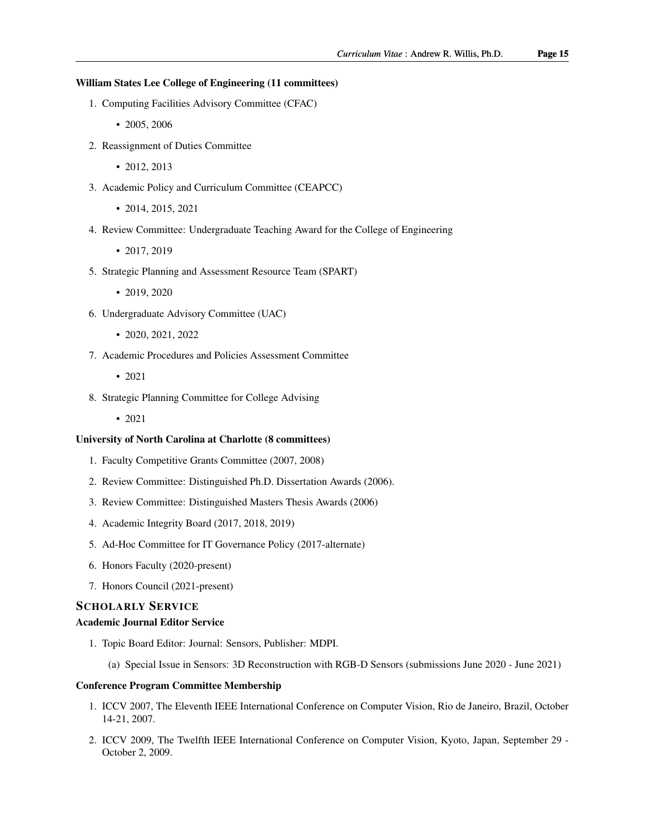#### William States Lee College of Engineering (11 committees)

- 1. Computing Facilities Advisory Committee (CFAC)
	- 2005, 2006
- 2. Reassignment of Duties Committee
	- 2012, 2013
- 3. Academic Policy and Curriculum Committee (CEAPCC)
	- 2014, 2015, 2021
- 4. Review Committee: Undergraduate Teaching Award for the College of Engineering
	- 2017, 2019
- 5. Strategic Planning and Assessment Resource Team (SPART)
	- 2019, 2020
- 6. Undergraduate Advisory Committee (UAC)
	- 2020, 2021, 2022
- 7. Academic Procedures and Policies Assessment Committee
	- 2021
- 8. Strategic Planning Committee for College Advising
	- 2021

## University of North Carolina at Charlotte (8 committees)

- 1. Faculty Competitive Grants Committee (2007, 2008)
- 2. Review Committee: Distinguished Ph.D. Dissertation Awards (2006).
- 3. Review Committee: Distinguished Masters Thesis Awards (2006)
- 4. Academic Integrity Board (2017, 2018, 2019)
- 5. Ad-Hoc Committee for IT Governance Policy (2017-alternate)
- 6. Honors Faculty (2020-present)
- 7. Honors Council (2021-present)

## SCHOLARLY SERVICE

#### Academic Journal Editor Service

- 1. Topic Board Editor: Journal: Sensors, Publisher: MDPI.
	- (a) Special Issue in Sensors: 3D Reconstruction with RGB-D Sensors (submissions June 2020 June 2021)

### Conference Program Committee Membership

- 1. ICCV 2007, [The Eleventh IEEE International Conference on Computer Vision,](http://iccv2007.rutgers.edu/) Rio de Janeiro, Brazil, October 14-21, 2007.
- 2. ICCV 2009, [The Twelfth IEEE International Conference on Computer Vision,](http://www.iccv2009.org) Kyoto, Japan, September 29 October 2, 2009.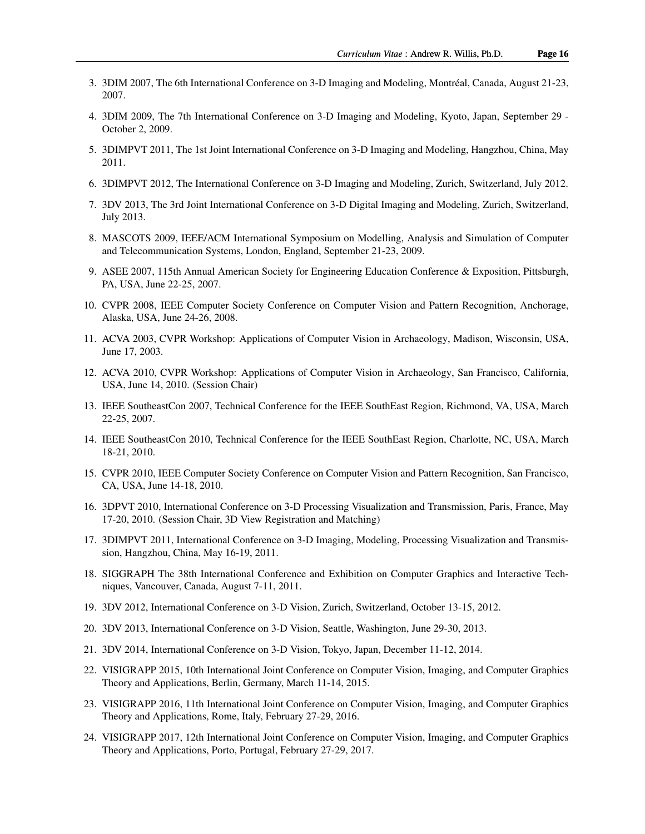- 3. 3DIM 2007, [The 6th International Conference on 3-D Imaging and Modeling,](http://www.3dimconference.org/) Montréal, Canada, August 21-23, 2007.
- 4. 3DIM 2009, [The 7th International Conference on 3-D Imaging and Modeling,](http://www.3dimconference.org/) Kyoto, Japan, September 29 October 2, 2009.
- 5. 3DIMPVT 2011, [The 1st Joint International Conference on 3-D Imaging and Modeling,](http://www.vis.uky.edu/3dimpvt/) Hangzhou, China, May 2011.
- 6. 3DIMPVT 2012, [The International Conference on 3-D Imaging and Modeling,](http://threedimpvt2012.ethz.ch/) Zurich, Switzerland, July 2012.
- 7. 3DV 2013, [The 3rd Joint International Conference on 3-D Digital Imaging and Modeling,](http://www.3dv.org/) Zurich, Switzerland, July 2013.
- 8. MASCOTS 2009, [IEEE/ACM International Symposium on Modelling, Analysis and Simulation of Computer](http://mascots2009.doc.ic.ac.uk) [and Telecommunication Systems,](http://mascots2009.doc.ic.ac.uk) London, England, September 21-23, 2009.
- 9. ASEE 2007, [115th Annual American Society for Engineering Education Conference & Exposition,](http://www.asee.org) Pittsburgh, PA, USA, June 22-25, 2007.
- 10. CVPR 2008, [IEEE Computer Society Conference on Computer Vision and Pattern Recognition,](http://vision.eecs.ucf.edu) Anchorage, Alaska, USA, June 24-26, 2008.
- 11. ACVA 2003, [CVPR Workshop: Applications of Computer Vision in Archaeology,](http://www.lems.brown.edu/vision/conferences/ACVA03/) Madison, Wisconsin, USA, June 17, 2003.
- 12. ACVA 2010, [CVPR Workshop: Applications of Computer Vision in Archaeology,](http://acva2010.cs.drexel.edu/home.html) San Francisco, California, USA, June 14, 2010. (Session Chair)
- 13. IEEE SoutheastCon 2007, [Technical Conference for the IEEE SouthEast Region,](http://www.southeastcon.org/2007/) Richmond, VA, USA, March 22-25, 2007.
- 14. IEEE SoutheastCon 2010, [Technical Conference for the IEEE SouthEast Region,](http://www.southeastcon2010.org/) Charlotte, NC, USA, March 18-21, 2010.
- 15. CVPR 2010, [IEEE Computer Society Conference on Computer Vision and Pattern Recognition,](http://cvl.umiacs.umd.edu/conferences/cvpr2010/) San Francisco, CA, USA, June 14-18, 2010.
- 16. 3DPVT 2010, [International Conference on 3-D Processing Visualization and Transmission,](http://www.3dpvt.org/) Paris, France, May 17-20, 2010. (Session Chair, 3D View Registration and Matching)
- 17. 3DIMPVT 2011, [International Conference on 3-D Imaging, Modeling, Processing Visualization and Transmis](http://www.vis.uky.edu/3dimpvt/)[sion,](http://www.vis.uky.edu/3dimpvt/) Hangzhou, China, May 16-19, 2011.
- 18. SIGGRAPH [The 38th International Conference and Exhibition on Computer Graphics and Interactive Tech](http://www.siggraph.org/s2011/)[niques,](http://www.siggraph.org/s2011/) Vancouver, Canada, August 7-11, 2011.
- 19. 3DV 2012, [International Conference on 3-D Vision,](http://threedimpvt2012.ethz.ch/) Zurich, Switzerland, October 13-15, 2012.
- 20. 3DV 2013, [International Conference on 3-D Vision,](http://www.3dimpvt.cs.washington.edu/) Seattle, Washington, June 29-30, 2013.
- 21. 3DV 2014, [International Conference on 3-D Vision,](http://www.3dimpvt.org/) Tokyo, Japan, December 11-12, 2014.
- 22. VISIGRAPP 2015, [10th International Joint Conference on Computer Vision, Imaging, and Computer Graphics](http://www.visigrapp.org/) [Theory and Applications,](http://www.visigrapp.org/) Berlin, Germany, March 11-14, 2015.
- 23. VISIGRAPP 2016, [11th International Joint Conference on Computer Vision, Imaging, and Computer Graphics](http://www.visigrapp.org/) [Theory and Applications,](http://www.visigrapp.org/) Rome, Italy, February 27-29, 2016.
- 24. VISIGRAPP 2017, [12th International Joint Conference on Computer Vision, Imaging, and Computer Graphics](http://www.visigrapp.org/) [Theory and Applications,](http://www.visigrapp.org/) Porto, Portugal, February 27-29, 2017.